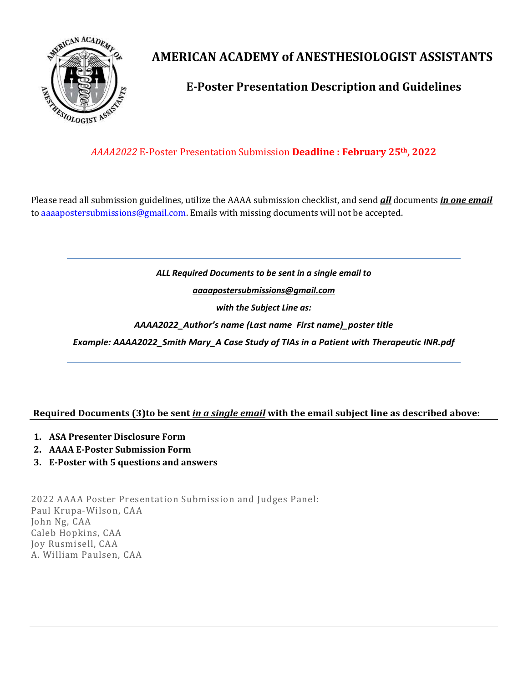

# **AMERICAN ACADEMY of ANESTHESIOLOGIST ASSISTANTS**

### **E-Poster Presentation Description and Guidelines**

### *AAAA2022* E-Poster Presentation Submission **Deadline : February 25th, 2022**

Please read all submission guidelines, utilize the AAAA submission checklist, and send *all* documents *in one email* to [aaaapostersubmissions@gmail.com.](mailto:aaaapostersubmissions@gmail.com?subject=AAAA%20Poster%20Presentation%202021) Emails with missing documents will not be accepted.

#### *ALL Required Documents to be sent in a single email to*

*[aaaapostersubmissions@gmail.com](mailto:aaaapostersubmissions@gmail.com?subject=AAAA%20Poster%20Presentation%202021)*

*with the Subject Line as:*

*AAAA2022\_Author's name (Last name First name)\_poster title*

*Example: AAAA2022\_Smith Mary\_A Case Study of TIAs in a Patient with Therapeutic INR.pdf*

#### **Required Documents (3)to be sent** *in a single email* **with the email subject line as described above:**

- **1. ASA Presenter Disclosure Form**
- **2. AAAA E-Poster Submission Form**
- **3. E-Poster with 5 questions and answers**

2022 AAAA Poster Presentation Submission and Judges Panel: Paul Krupa-Wilson, CAA John Ng, CAA Caleb Hopkins, CAA Joy Rusmisell, CAA A. William Paulsen, CAA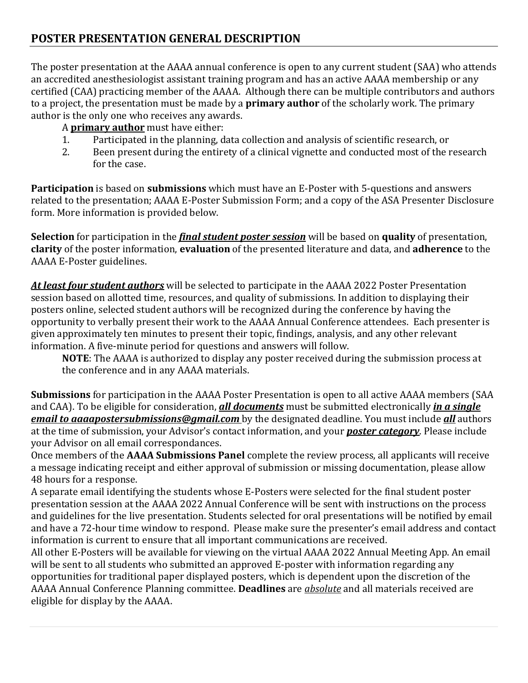The poster presentation at the AAAA annual conference is open to any current student (SAA) who attends an accredited anesthesiologist assistant training program and has an active AAAA membership or any certified (CAA) practicing member of the AAAA. Although there can be multiple contributors and authors to a project, the presentation must be made by a **primary author** of the scholarly work. The primary author is the only one who receives any awards.

# A **primary author** must have either:<br>1. Particinated in the planning d

- 1. Participated in the planning, data collection and analysis of scientific research, or<br>2. Been present during the entirety of a clinical vignette and conducted most of the i
- Been present during the entirety of a clinical vignette and conducted most of the research for the case.

**Participation** is based on **submissions** which must have an E-Poster with 5-questions and answers related to the presentation; AAAA E-Poster Submission Form; and a copy of the ASA Presenter Disclosure form. More information is provided below.

**Selection** for participation in the *final student poster session* will be based on **quality** of presentation, **clarity** of the poster information, **evaluation** of the presented literature and data, and **adherence** to the AAAA E-Poster guidelines.

*At least four student authors* will be selected to participate in the AAAA 2022 Poster Presentation session based on allotted time, resources, and quality of submissions. In addition to displaying their posters online, selected student authors will be recognized during the conference by having the opportunity to verbally present their work to the AAAA Annual Conference attendees. Each presenter is given approximately ten minutes to present their topic, findings, analysis, and any other relevant information. A five-minute period for questions and answers will follow.

**NOTE**: The AAAA is authorized to display any poster received during the submission process at the conference and in any AAAA materials.

**Submissions** for participation in the AAAA Poster Presentation is open to all active AAAA members (SAA and CAA). To be eligible for consideration, *all documents* must be submitted electronically *in a single email to aaaapostersubmissions@gmail.com* by the designated deadline. You must include *all* authors at the time of submission, your Advisor's contact information, and your *poster category*. Please include your Advisor on all email correspondances.

Once members of the **AAAA Submissions Panel** complete the review process, all applicants will receive a message indicating receipt and either approval of submission or missing documentation, please allow 48 hours for a response.

A separate email identifying the students whose E-Posters were selected for the final student poster presentation session at the AAAA 2022 Annual Conference will be sent with instructions on the process and guidelines for the live presentation. Students selected for oral presentations will be notified by email and have a 72-hour time window to respond. Please make sure the presenter's email address and contact information is current to ensure that all important communications are received.

All other E-Posters will be available for viewing on the virtual AAAA 2022 Annual Meeting App. An email will be sent to all students who submitted an approved E-poster with information regarding any opportunities for traditional paper displayed posters, which is dependent upon the discretion of the AAAA Annual Conference Planning committee. **Deadlines** are *absolute* and all materials received are eligible for display by the AAAA.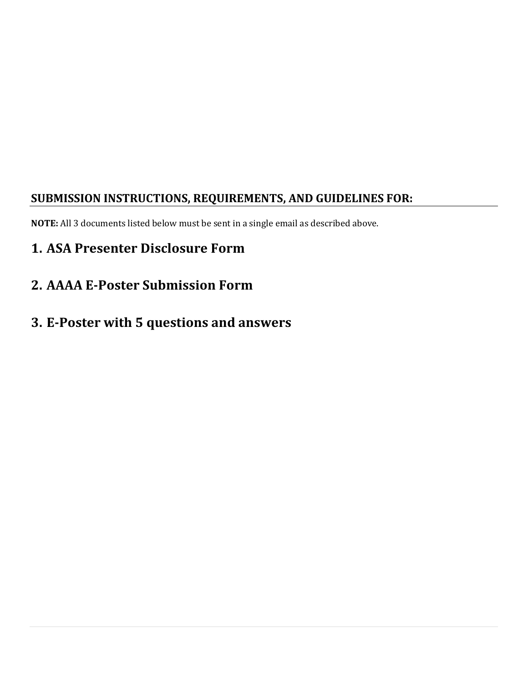### **SUBMISSION INSTRUCTIONS, REQUIREMENTS, AND GUIDELINES FOR:**

**NOTE:** All 3 documents listed below must be sent in a single email as described above.

# **1. ASA Presenter Disclosure Form**

**2. AAAA E-Poster Submission Form**

# **3. E-Poster with 5 questions and answers**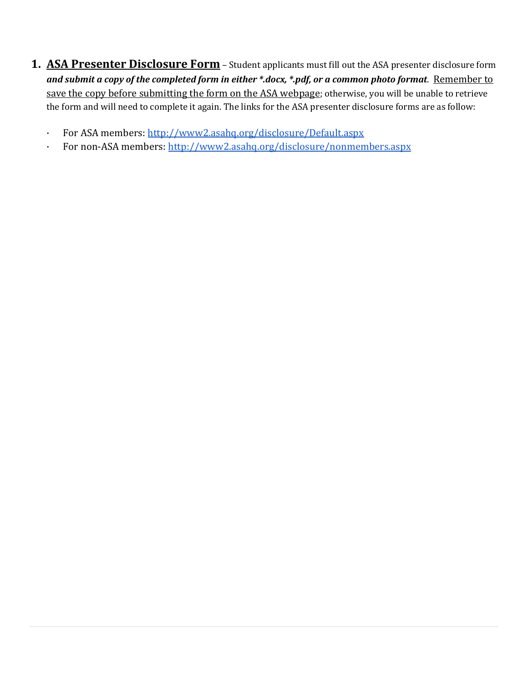- **1. ASA Presenter Disclosure Form** Student applicants must fill out the ASA presenter disclosure form *and submit a copy of the completed form in either \*.docx, \*.pdf, or a common photo format*. Remember to save the copy before submitting the form on the ASA webpage; otherwise, you will be unable to retrieve the form and will need to complete it again. The links for the ASA presenter disclosure forms are as follow:
	- · For ASA members[:](http://www2.asahq.org/disclosure/Default.aspx) <http://www2.asahq.org/disclosure/Default.aspx>
	- · For non-ASA members[:](http://www2.asahq.org/disclosure/nonmembers.aspx) <http://www2.asahq.org/disclosure/nonmembers.aspx>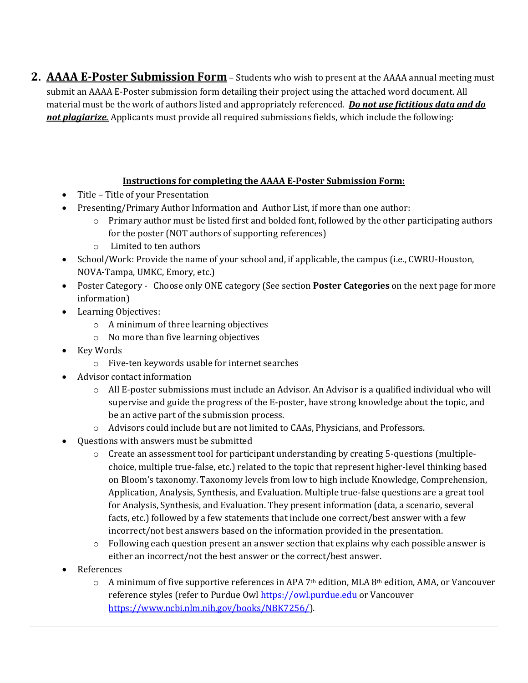**2. AAAA E-Poster Submission Form** – Students who wish to present at the AAAA annual meeting must submit an AAAA E-Poster submission form detailing their project using the attached word document. All material must be the work of authors listed and appropriately referenced. *Do not use fictitious data and do not plagiarize.* Applicants must provide all required submissions fields, which include the following:

### **Instructions for completing the AAAA E-Poster Submission Form:**

- Title Title of your Presentation
- Presenting/Primary Author Information and Author List, if more than one author:
	- $\circ$  Primary author must be listed first and bolded font, followed by the other participating authors for the poster (NOT authors of supporting references)
	- o Limited to ten authors
- School/Work: Provide the name of your school and, if applicable, the campus (i.e., CWRU-Houston, NOVA-Tampa, UMKC, Emory, etc.)
- Poster Category Choose only ONE category (See section **Poster Categories** on the next page for more information)
- Learning Objectives:
	- o A minimum of three learning objectives
	- o No more than five learning objectives
- Key Words
	- o Five-ten keywords usable for internet searches
- Advisor contact information
	- $\circ$  All E-poster submissions must include an Advisor. An Advisor is a qualified individual who will supervise and guide the progress of the E-poster, have strong knowledge about the topic, and be an active part of the submission process.
	- o Advisors could include but are not limited to CAAs, Physicians, and Professors.
- Questions with answers must be submitted
	- o Create an assessment tool for participant understanding by creating 5-questions (multiplechoice, multiple true-false, etc.) related to the topic that represent higher-level thinking based on Bloom's taxonomy. Taxonomy levels from low to high include Knowledge, Comprehension, Application, Analysis, Synthesis, and Evaluation. Multiple true-false questions are a great tool for Analysis, Synthesis, and Evaluation. They present information (data, a scenario, several facts, etc.) followed by a few statements that include one correct/best answer with a few incorrect/not best answers based on the information provided in the presentation.
	- $\circ$  Following each question present an answer section that explains why each possible answer is either an incorrect/not the best answer or the correct/best answer.
- **References** 
	- $\circ$  A minimum of five supportive references in APA 7<sup>th</sup> edition, MLA 8<sup>th</sup> edition, AMA, or Vancouver reference styles (refer to Purdue Ow[l https://owl.purdue.edu](https://owl.purdue.edu/) or Vancouver [https://www.ncbi.nlm.nih.gov/books/NBK7256/\)](https://www.ncbi.nlm.nih.gov/books/NBK7256/).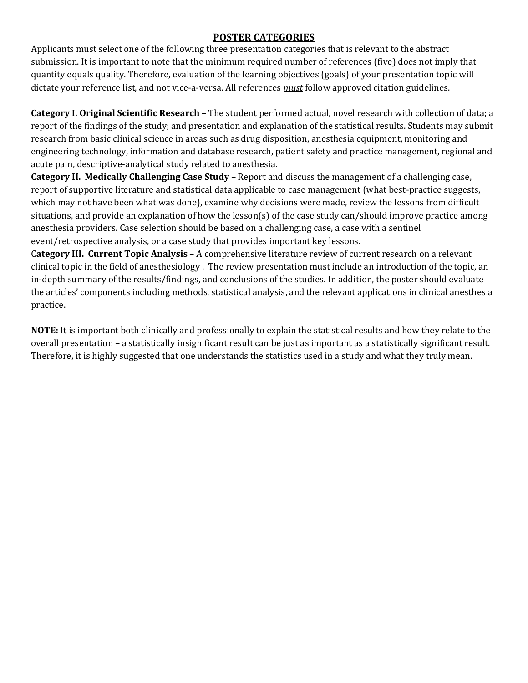### **POSTER CATEGORIES**

Applicants must select one of the following three presentation categories that is relevant to the abstract submission. It is important to note that the minimum required number of references (five) does not imply that quantity equals quality. Therefore, evaluation of the learning objectives (goals) of your presentation topic will dictate your reference list, and not vice-a-versa. All references *must* follow approved citation guidelines.

**Category I. Original Scientific Research** – The student performed actual, novel research with collection of data; a report of the findings of the study; and presentation and explanation of the statistical results. Students may submit research from basic clinical science in areas such as drug disposition, anesthesia equipment, monitoring and engineering technology, information and database research, patient safety and practice management, regional and acute pain, descriptive-analytical study related to anesthesia.

**Category II. Medically Challenging Case Study** – Report and discuss the management of a challenging case, report of supportive literature and statistical data applicable to case management (what best-practice suggests, which may not have been what was done), examine why decisions were made, review the lessons from difficult situations, and provide an explanation of how the lesson(s) of the case study can/should improve practice among anesthesia providers. Case selection should be based on a challenging case, a case with a sentinel event/retrospective analysis, or a case study that provides important key lessons.

C**ategory III. Current Topic Analysis** – A comprehensive literature review of current research on a relevant clinical topic in the field of anesthesiology . The review presentation must include an introduction of the topic, an in-depth summary of the results/findings, and conclusions of the studies. In addition, the poster should evaluate the articles' components including methods, statistical analysis, and the relevant applications in clinical anesthesia practice.

**NOTE:** It is important both clinically and professionally to explain the statistical results and how they relate to the overall presentation – a statistically insignificant result can be just as important as a statistically significant result. Therefore, it is highly suggested that one understands the statistics used in a study and what they truly mean.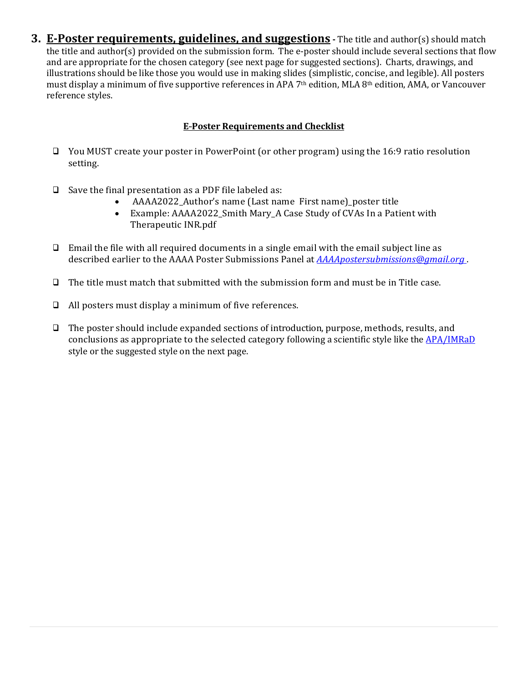**3. E-Poster requirements, guidelines, and suggestions -** The title and author(s) should match the title and author(s) provided on the submission form. The e-poster should include several sections that flow and are appropriate for the chosen category (see next page for suggested sections). Charts, drawings, and illustrations should be like those you would use in making slides (simplistic, concise, and legible). All posters must display a minimum of five supportive references in APA 7th edition, MLA 8th edition, AMA, or Vancouver reference styles.

#### **E---Poster Requirements and Checklist**

- □ You MUST create your poster in PowerPoint (or other program) using the 16:9 ratio resolution setting.
- $\Box$  Save the final presentation as a PDF file labeled as:
	- AAAA2022\_Author's name (Last name First name)\_poster title<br>• Example: AAAA2022\_Smith Mary\_A Case Study of CVAs In a Pati
	- Example: AAAA2022\_Smith Mary\_A Case Study of CVAs In a Patient with Therapeutic INR.pdf
- $\Box$  Email the file with all required documents in a single email with the email subject line as described earlier to the AAAA Poster Submissions Panel at *[AAAApostersubmissions@gmail.org](mailto:AAAApostersubmissions@gmail.org)* .
- $\Box$  The title must match that submitted with the submission form and must be in Title case.
- All posters must display a minimum of five references.
- The poster should include expanded sections of introduction, purpose, methods, results, and conclusions as appropriate to the selected category following a scientific style like the [APA/IMRaD](https://owl.excelsior.edu/research/outlining/outlining-imrad/) style or the suggested style on the next page.